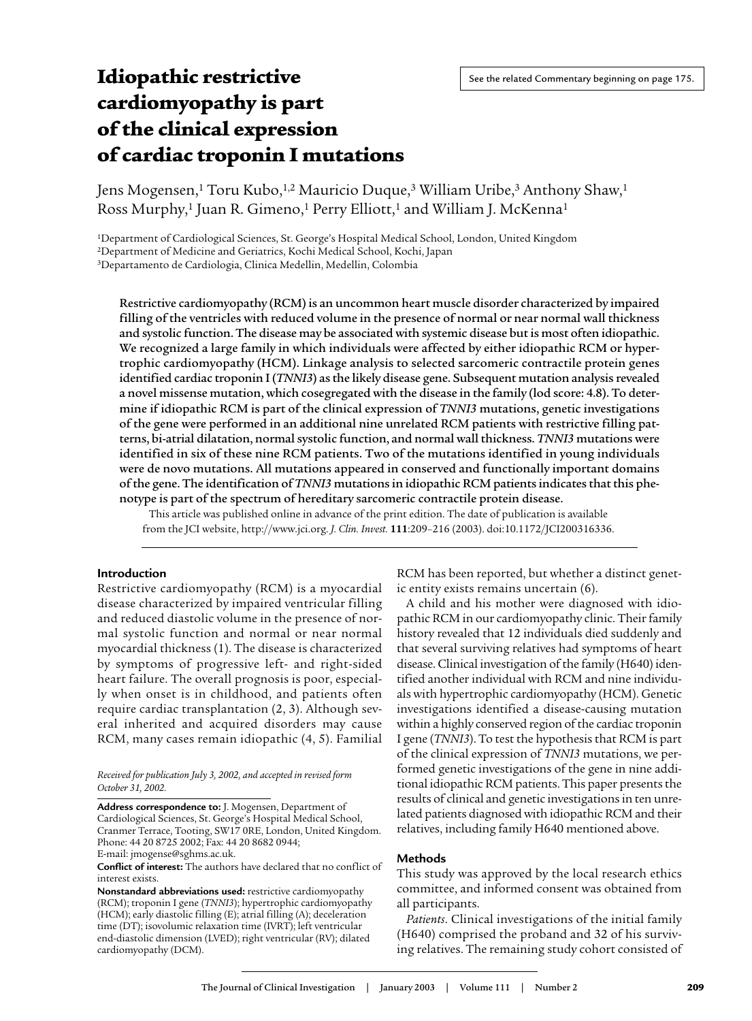# **Idiopathic restrictive cardiomyopathy is part of the clinical expression of cardiac troponin I mutations**

Jens Mogensen,<sup>1</sup> Toru Kubo,<sup>1,2</sup> Mauricio Duque,<sup>3</sup> William Uribe,<sup>3</sup> Anthony Shaw,<sup>1</sup> Ross Murphy,<sup>1</sup> Juan R. Gimeno,<sup>1</sup> Perry Elliott,<sup>1</sup> and William J. McKenna<sup>1</sup>

1Department of Cardiological Sciences, St. George's Hospital Medical School, London, United Kingdom

2Department of Medicine and Geriatrics, Kochi Medical School, Kochi, Japan

3Departamento de Cardiologia, Clinica Medellin, Medellin, Colombia

Restrictive cardiomyopathy (RCM) is an uncommon heart muscle disorder characterized by impaired filling of the ventricles with reduced volume in the presence of normal or near normal wall thickness and systolic function. The disease may be associated with systemic disease but is most often idiopathic. We recognized a large family in which individuals were affected by either idiopathic RCM or hypertrophic cardiomyopathy (HCM). Linkage analysis to selected sarcomeric contractile protein genes identified cardiac troponin I (*TNNI3*) as the likely disease gene. Subsequent mutation analysis revealed a novel missense mutation, which cosegregated with the disease in the family (lod score: 4.8). To determine if idiopathic RCM is part of the clinical expression of *TNNI3* mutations, genetic investigations of the gene were performed in an additional nine unrelated RCM patients with restrictive filling patterns, bi-atrial dilatation, normal systolic function, and normal wall thickness. *TNNI3* mutations were identified in six of these nine RCM patients. Two of the mutations identified in young individuals were de novo mutations. All mutations appeared in conserved and functionally important domains of the gene. The identification of *TNNI3* mutations in idiopathic RCM patients indicates that this phenotype is part of the spectrum of hereditary sarcomeric contractile protein disease.

This article was published online in advance of the print edition. The date of publication is available from the JCI website, http://www.jci.org. *J. Clin. Invest.* **111**:209–216 (2003). doi:10.1172/JCI200316336.

## **Introduction**

Restrictive cardiomyopathy (RCM) is a myocardial disease characterized by impaired ventricular filling and reduced diastolic volume in the presence of normal systolic function and normal or near normal myocardial thickness (1). The disease is characterized by symptoms of progressive left- and right-sided heart failure. The overall prognosis is poor, especially when onset is in childhood, and patients often require cardiac transplantation (2, 3). Although several inherited and acquired disorders may cause RCM, many cases remain idiopathic (4, 5). Familial

*Received for publication July 3, 2002, and accepted in revised form October 31, 2002.*

**Address correspondence to:** J. Mogensen, Department of Cardiological Sciences, St. George's Hospital Medical School, Cranmer Terrace, Tooting, SW17 0RE, London, United Kingdom. Phone: 44 20 8725 2002; Fax: 44 20 8682 0944;

RCM has been reported, but whether a distinct genetic entity exists remains uncertain (6).

A child and his mother were diagnosed with idiopathic RCM in our cardiomyopathy clinic. Their family history revealed that 12 individuals died suddenly and that several surviving relatives had symptoms of heart disease. Clinical investigation of the family (H640) identified another individual with RCM and nine individuals with hypertrophic cardiomyopathy (HCM). Genetic investigations identified a disease-causing mutation within a highly conserved region of the cardiac troponin I gene (*TNNI3*). To test the hypothesis that RCM is part of the clinical expression of *TNNI3* mutations, we performed genetic investigations of the gene in nine additional idiopathic RCM patients. This paper presents the results of clinical and genetic investigations in ten unrelated patients diagnosed with idiopathic RCM and their relatives, including family H640 mentioned above.

## **Methods**

This study was approved by the local research ethics committee, and informed consent was obtained from all participants.

*Patients*. Clinical investigations of the initial family (H640) comprised the proband and 32 of his surviving relatives. The remaining study cohort consisted of

E-mail: jmogense@sghms.ac.uk.

**Conflict of interest:** The authors have declared that no conflict of interest exists.

**Nonstandard abbreviations used:** restrictive cardiomyopathy (RCM); troponin I gene (*TNNI3*); hypertrophic cardiomyopathy (HCM); early diastolic filling (E); atrial filling (A); deceleration time (DT); isovolumic relaxation time (IVRT); left ventricular end-diastolic dimension (LVED); right ventricular (RV); dilated cardiomyopathy (DCM).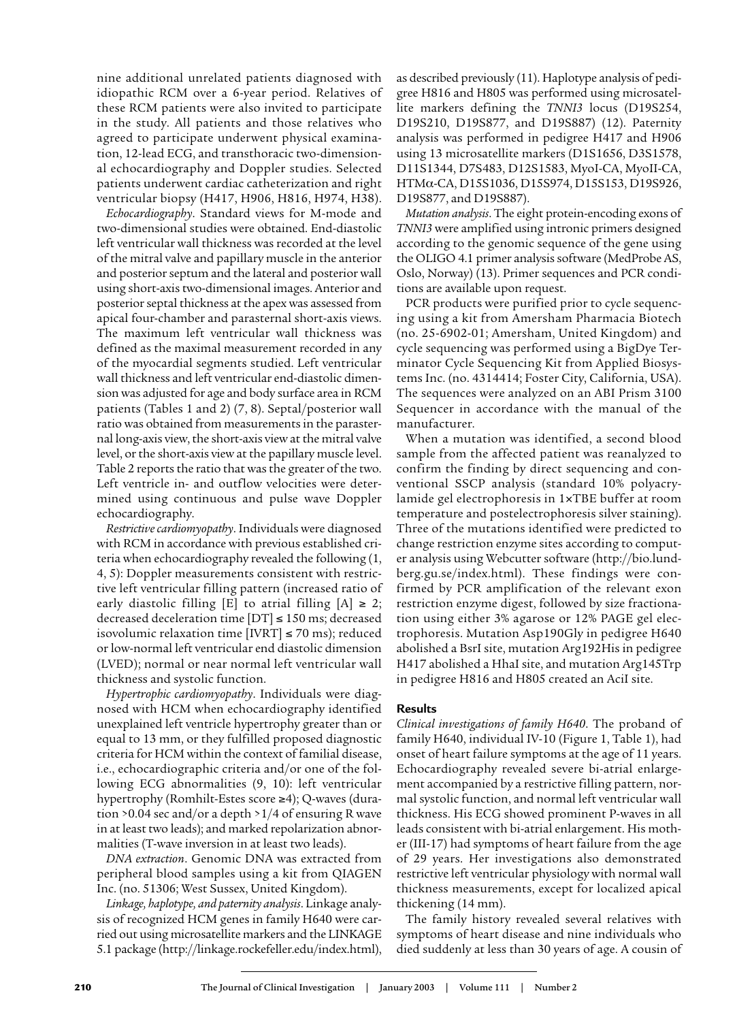nine additional unrelated patients diagnosed with idiopathic RCM over a 6-year period. Relatives of these RCM patients were also invited to participate in the study. All patients and those relatives who agreed to participate underwent physical examination, 12-lead ECG, and transthoracic two-dimensional echocardiography and Doppler studies. Selected patients underwent cardiac catheterization and right ventricular biopsy (H417, H906, H816, H974, H38).

*Echocardiography*. Standard views for M-mode and two-dimensional studies were obtained. End-diastolic left ventricular wall thickness was recorded at the level of the mitral valve and papillary muscle in the anterior and posterior septum and the lateral and posterior wall using short-axis two-dimensional images. Anterior and posterior septal thickness at the apex was assessed from apical four-chamber and parasternal short-axis views. The maximum left ventricular wall thickness was defined as the maximal measurement recorded in any of the myocardial segments studied. Left ventricular wall thickness and left ventricular end-diastolic dimension was adjusted for age and body surface area in RCM patients (Tables 1 and 2) (7, 8). Septal/posterior wall ratio was obtained from measurements in the parasternal long-axis view, the short-axis view at the mitral valve level, or the short-axis view at the papillary muscle level. Table 2 reports the ratio that was the greater of the two. Left ventricle in- and outflow velocities were determined using continuous and pulse wave Doppler echocardiography.

*Restrictive cardiomyopathy*. Individuals were diagnosed with RCM in accordance with previous established criteria when echocardiography revealed the following (1, 4, 5): Doppler measurements consistent with restrictive left ventricular filling pattern (increased ratio of early diastolic filling  $[E]$  to atrial filling  $[A] \geq 2$ ; decreased deceleration time  $DT] \le 150$  ms; decreased isovolumic relaxation time  $[IVRT] \le 70$  ms); reduced or low-normal left ventricular end diastolic dimension (LVED); normal or near normal left ventricular wall thickness and systolic function.

*Hypertrophic cardiomyopathy*. Individuals were diagnosed with HCM when echocardiography identified unexplained left ventricle hypertrophy greater than or equal to 13 mm, or they fulfilled proposed diagnostic criteria for HCM within the context of familial disease, i.e., echocardiographic criteria and/or one of the following ECG abnormalities (9, 10): left ventricular hypertrophy (Romhilt-Estes score ≥4); Q-waves (duration >0.04 sec and/or a depth >1/4 of ensuring R wave in at least two leads); and marked repolarization abnormalities (T-wave inversion in at least two leads).

*DNA extraction*. Genomic DNA was extracted from peripheral blood samples using a kit from QIAGEN Inc. (no. 51306; West Sussex, United Kingdom).

*Linkage, haplotype, and paternity analysis*. Linkage analysis of recognized HCM genes in family H640 were carried out using microsatellite markers and the LINKAGE 5.1 package (http://linkage.rockefeller.edu/index.html),

as described previously (11). Haplotype analysis of pedigree H816 and H805 was performed using microsatellite markers defining the *TNNI3* locus (D19S254, D19S210, D19S877, and D19S887) (12). Paternity analysis was performed in pedigree H417 and H906 using 13 microsatellite markers (D1S1656, D3S1578, D11S1344, D7S483, D12S1583, MyoI-CA, MyoII-CA, HTMα-CA, D15S1036, D15S974, D15S153, D19S926, D19S877, and D19S887).

*Mutation analysis*. The eight protein-encoding exons of *TNNI3* were amplified using intronic primers designed according to the genomic sequence of the gene using the OLIGO 4.1 primer analysis software (MedProbe AS, Oslo, Norway) (13). Primer sequences and PCR conditions are available upon request.

PCR products were purified prior to cycle sequencing using a kit from Amersham Pharmacia Biotech (no. 25-6902-01; Amersham, United Kingdom) and cycle sequencing was performed using a BigDye Terminator Cycle Sequencing Kit from Applied Biosystems Inc. (no. 4314414; Foster City, California, USA). The sequences were analyzed on an ABI Prism 3100 Sequencer in accordance with the manual of the manufacturer.

When a mutation was identified, a second blood sample from the affected patient was reanalyzed to confirm the finding by direct sequencing and conventional SSCP analysis (standard 10% polyacrylamide gel electrophoresis in 1×TBE buffer at room temperature and postelectrophoresis silver staining). Three of the mutations identified were predicted to change restriction enzyme sites according to computer analysis using Webcutter software (http://bio.lundberg.gu.se/index.html). These findings were confirmed by PCR amplification of the relevant exon restriction enzyme digest, followed by size fractionation using either 3% agarose or 12% PAGE gel electrophoresis. Mutation Asp190Gly in pedigree H640 abolished a BsrI site, mutation Arg192His in pedigree H417 abolished a HhaI site, and mutation Arg145Trp in pedigree H816 and H805 created an AciI site.

# **Results**

*Clinical investigations of family H640*. The proband of family H640, individual IV-10 (Figure 1, Table 1), had onset of heart failure symptoms at the age of 11 years. Echocardiography revealed severe bi-atrial enlargement accompanied by a restrictive filling pattern, normal systolic function, and normal left ventricular wall thickness. His ECG showed prominent P-waves in all leads consistent with bi-atrial enlargement. His mother (III-17) had symptoms of heart failure from the age of 29 years. Her investigations also demonstrated restrictive left ventricular physiology with normal wall thickness measurements, except for localized apical thickening (14 mm).

The family history revealed several relatives with symptoms of heart disease and nine individuals who died suddenly at less than 30 years of age. A cousin of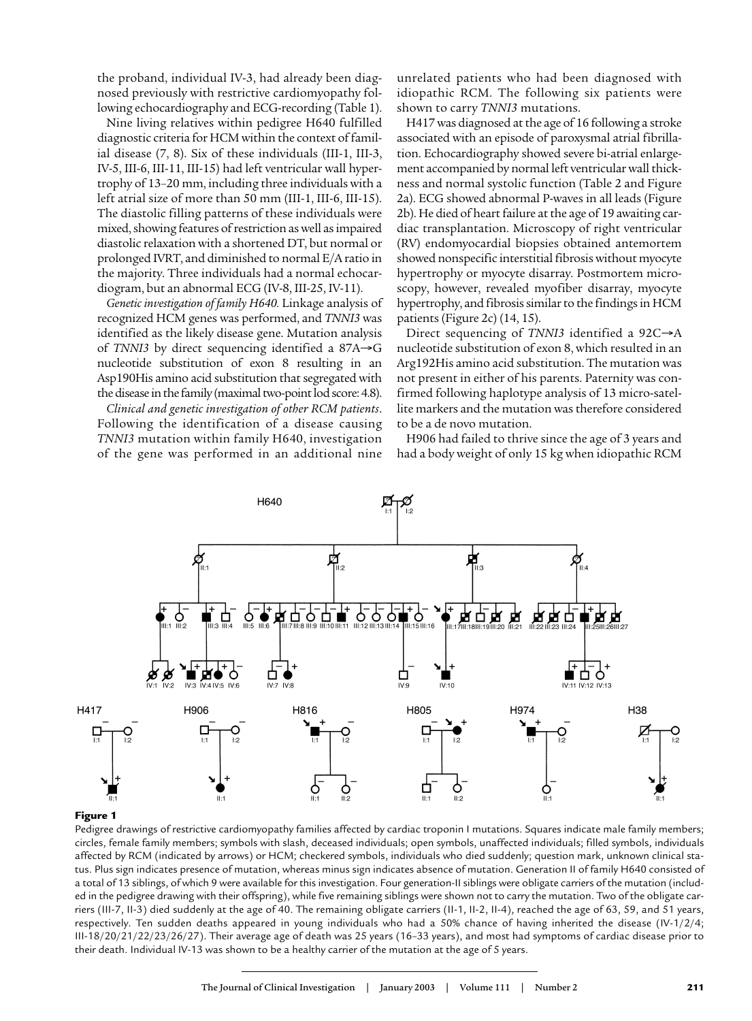the proband, individual IV-3, had already been diagnosed previously with restrictive cardiomyopathy following echocardiography and ECG-recording (Table 1).

Nine living relatives within pedigree H640 fulfilled diagnostic criteria for HCM within the context of familial disease (7, 8). Six of these individuals (III-1, III-3, IV-5, III-6, III-11, III-15) had left ventricular wall hypertrophy of 13–20 mm, including three individuals with a left atrial size of more than 50 mm (III-1, III-6, III-15). The diastolic filling patterns of these individuals were mixed, showing features of restriction as well as impaired diastolic relaxation with a shortened DT, but normal or prolonged IVRT, and diminished to normal E/A ratio in the majority. Three individuals had a normal echocardiogram, but an abnormal ECG (IV-8, III-25, IV-11).

*Genetic investigation of family H640.* Linkage analysis of recognized HCM genes was performed, and *TNNI3* was identified as the likely disease gene. Mutation analysis of *TNNI3* by direct sequencing identified a 87A→G nucleotide substitution of exon 8 resulting in an Asp190His amino acid substitution that segregated with the disease in the family (maximal two-point lod score: 4.8).

*Clinical and genetic investigation of other RCM patients*. Following the identification of a disease causing *TNNI3* mutation within family H640, investigation of the gene was performed in an additional nine unrelated patients who had been diagnosed with idiopathic RCM. The following six patients were shown to carry *TNNI3* mutations.

H417 was diagnosed at the age of 16 following a stroke associated with an episode of paroxysmal atrial fibrillation. Echocardiography showed severe bi-atrial enlargement accompanied by normal left ventricular wall thickness and normal systolic function (Table 2 and Figure 2a). ECG showed abnormal P-waves in all leads (Figure 2b). He died of heart failure at the age of 19 awaiting cardiac transplantation. Microscopy of right ventricular (RV) endomyocardial biopsies obtained antemortem showed nonspecific interstitial fibrosis without myocyte hypertrophy or myocyte disarray. Postmortem microscopy, however, revealed myofiber disarray, myocyte hypertrophy, and fibrosis similar to the findings in HCM patients (Figure 2c) (14, 15).

Direct sequencing of *TNNI3* identified a 92C→A nucleotide substitution of exon 8, which resulted in an Arg192His amino acid substitution. The mutation was not present in either of his parents. Paternity was confirmed following haplotype analysis of 13 micro-satellite markers and the mutation was therefore considered to be a de novo mutation.

H906 had failed to thrive since the age of 3 years and had a body weight of only 15 kg when idiopathic RCM



## **Figure 1**

Pedigree drawings of restrictive cardiomyopathy families affected by cardiac troponin I mutations. Squares indicate male family members; circles, female family members; symbols with slash, deceased individuals; open symbols, unaffected individuals; filled symbols, individuals affected by RCM (indicated by arrows) or HCM; checkered symbols, individuals who died suddenly; question mark, unknown clinical status. Plus sign indicates presence of mutation, whereas minus sign indicates absence of mutation. Generation II of family H640 consisted of a total of 13 siblings, of which 9 were available for this investigation. Four generation-II siblings were obligate carriers of the mutation (included in the pedigree drawing with their offspring), while five remaining siblings were shown not to carry the mutation. Two of the obligate carriers (III-7, II-3) died suddenly at the age of 40. The remaining obligate carriers (II-1, II-2, II-4), reached the age of 63, 59, and 51 years, respectively. Ten sudden deaths appeared in young individuals who had a 50% chance of having inherited the disease (IV-1/2/4; III-18/20/21/22/23/26/27). Their average age of death was 25 years (16–33 years), and most had symptoms of cardiac disease prior to their death. Individual IV-13 was shown to be a healthy carrier of the mutation at the age of 5 years.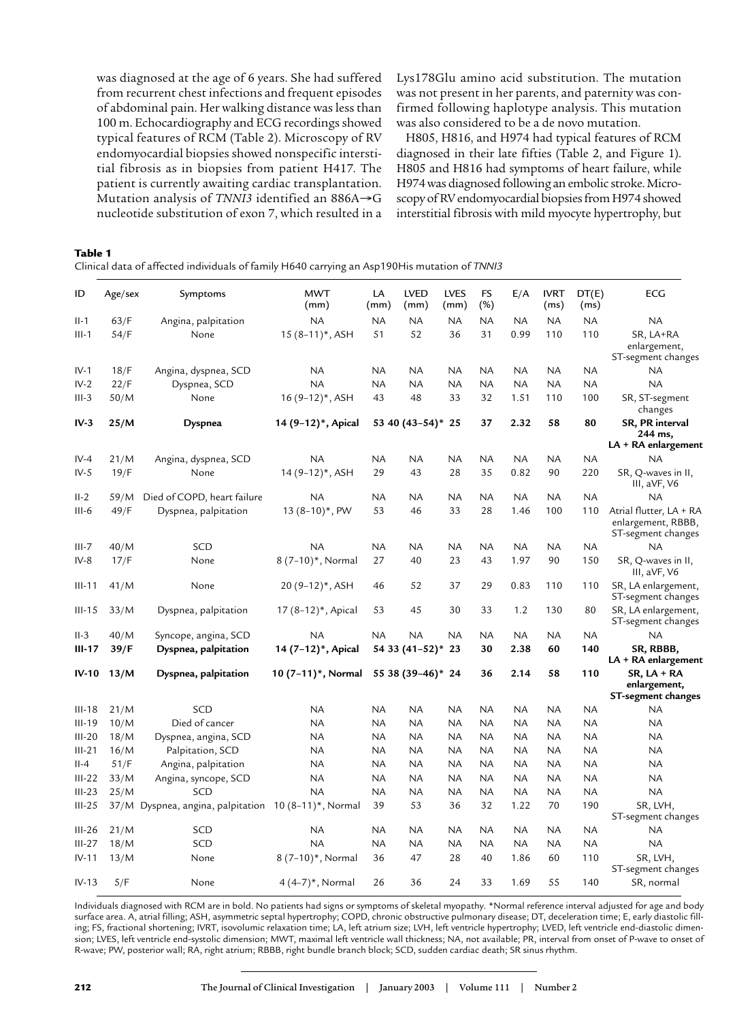was diagnosed at the age of 6 years. She had suffered from recurrent chest infections and frequent episodes of abdominal pain. Her walking distance was less than 100 m. Echocardiography and ECG recordings showed typical features of RCM (Table 2). Microscopy of RV endomyocardial biopsies showed nonspecific interstitial fibrosis as in biopsies from patient H417. The patient is currently awaiting cardiac transplantation. Mutation analysis of *TNNI3* identified an 886A→G nucleotide substitution of exon 7, which resulted in a Lys178Glu amino acid substitution. The mutation was not present in her parents, and paternity was confirmed following haplotype analysis. This mutation was also considered to be a de novo mutation.

H805, H816, and H974 had typical features of RCM diagnosed in their late fifties (Table 2, and Figure 1). H805 and H816 had symptoms of heart failure, while H974 was diagnosed following an embolic stroke. Microscopy of RV endomyocardial biopsies from H974 showed interstitial fibrosis with mild myocyte hypertrophy, but

## **Table 1**

Clinical data of affected individuals of family H640 carrying an Asp190His mutation of *TNNI3*

| ID         | Age/sex         | Symptoms                                             | <b>MWT</b><br>(mm)                   | LA<br>(mm)     | <b>LVED</b><br>(mm) | <b>LVES</b><br>(mm) | FS<br>(%)  | E/A       | <b>IVRT</b><br>(ms) | DT(E)<br>(ms) | <b>ECG</b>                                                          |  |  |
|------------|-----------------|------------------------------------------------------|--------------------------------------|----------------|---------------------|---------------------|------------|-----------|---------------------|---------------|---------------------------------------------------------------------|--|--|
| $II-1$     | 63/F            | Angina, palpitation                                  | <b>NA</b>                            | <b>NA</b>      | <b>NA</b>           | NA                  | NA         | NA        | <b>NA</b>           | <b>NA</b>     | <b>NA</b>                                                           |  |  |
| $III-1$    | 54/F            | None                                                 | $15(8-11)^*$ , ASH                   | 51             | 52                  | 36                  | 31         | 0.99      | 110                 | 110           | SR, LA+RA<br>enlargement,<br>ST-segment changes                     |  |  |
| $IV-1$     | 18/F            | Angina, dyspnea, SCD                                 | <b>NA</b>                            | <b>NA</b>      | <b>NA</b>           | <b>NA</b>           | <b>NA</b>  | <b>NA</b> | <b>NA</b>           | <b>NA</b>     | <b>NA</b>                                                           |  |  |
| $IV-2$     | 22/F            | Dyspnea, SCD                                         | <b>NA</b>                            | NA             | <b>NA</b>           |                     | <b>NA</b>  | NA        | <b>NA</b>           | <b>NA</b>     | <b>NA</b>                                                           |  |  |
| $III-3$    | 50/M            | None                                                 | 16 (9-12)*, ASH                      | 43<br>48       |                     | 33                  | 32         | 1.51      | 110                 | 100           | SR, ST-segment<br>changes                                           |  |  |
| $IV-3$     | 25/M<br>Dyspnea |                                                      | 14 (9-12)*, Apical<br>53 40 (43–54)* |                |                     | 25                  | 37<br>2.32 |           | 58                  | 80            | SR, PR interval<br>244 ms,<br>LA + RA enlargement                   |  |  |
| $IV-4$     | 21/M            | Angina, dyspnea, SCD                                 | NA                                   | <b>NA</b>      | <b>NA</b>           | <b>NA</b>           | <b>NA</b>  | <b>NA</b> | <b>NA</b>           | <b>NA</b>     | <b>NA</b>                                                           |  |  |
| $IV-5$     | 19/F            | None                                                 | 14 (9-12)*, ASH                      | 29             | 43                  | 28                  | 35         | 0.82      | 90                  | 220           | SR, Q-waves in II,<br>III, aVF, V6                                  |  |  |
| $II-2$     | 59/M            | Died of COPD, heart failure                          | NA                                   | <b>NA</b>      | <b>NA</b>           | NA.                 | <b>NA</b>  | <b>NA</b> | <b>NA</b>           | <b>NA</b>     | <b>NA</b>                                                           |  |  |
| $III-6$    | 49/F            | Dyspnea, palpitation                                 | $13(8-10)^{*}$ , PW                  | 53             | 46                  | 33                  | 28         | 1.46      | 100                 | 110           | Atrial flutter, LA + RA<br>enlargement, RBBB,<br>ST-segment changes |  |  |
| $III - 7$  | 40/M            | SCD                                                  | <b>NA</b>                            | <b>NA</b>      | <b>NA</b>           | <b>NA</b>           | <b>NA</b>  | <b>NA</b> | <b>NA</b>           | <b>NA</b>     | <b>NA</b>                                                           |  |  |
| $IV-8$     | 17/F            | None                                                 | 8 (7-10)*, Normal                    | 27             | 40                  | 23                  | 43         | 1.97      | 90                  | 150           | SR, Q-waves in II,<br>III, $aVF, V6$                                |  |  |
| $III-11$   | 41/M            | None                                                 | 20 (9–12)*, ASH                      | 46             | 52                  | 37                  | 29         | 0.83      | 110                 | 110           | SR, LA enlargement,<br>ST-segment changes                           |  |  |
| $III-15$   | 33/M            | Dyspnea, palpitation                                 | 17 (8-12)*, Apical                   | 53             | 45                  | 30                  | 33         | 1.2       | 130                 | 80            | SR, LA enlargement,<br>ST-segment changes                           |  |  |
| $II-3$     | 40/M            | Syncope, angina, SCD                                 | <b>NA</b>                            | <b>NA</b>      | <b>NA</b>           | <b>NA</b>           | <b>NA</b>  | <b>NA</b> | <b>NA</b>           | <b>NA</b>     | <b>NA</b>                                                           |  |  |
| $III-17$   | 39/F            | Dyspnea, palpitation                                 | 14 (7-12)*, Apical                   | 54 33 (41-52)* |                     | 23                  | 30         | 2.38      | 60                  | 140           | SR, RBBB,<br>LA + RA enlargement                                    |  |  |
| $IV-10$    | 13/M            | Dyspnea, palpitation                                 | 10 (7–11)*, Normal                   |                | 55 38 (39–46)* 24   |                     | 36         | 2.14      | 58                  | 110           | SR, LA + RA<br>enlargement,<br>ST-segment changes                   |  |  |
| $III-18$   | 21/M            | SCD                                                  | NA                                   | NA             | <b>NA</b>           | <b>NA</b>           | NA         | NA        | NA                  | <b>NA</b>     | <b>NA</b>                                                           |  |  |
| $III-19$   | 10/M            | Died of cancer                                       | <b>NA</b>                            | NA             | <b>NA</b>           | <b>NA</b>           | NA         | NA        | NA                  | <b>NA</b>     | <b>NA</b>                                                           |  |  |
| $III-20$   | 18/M            | Dyspnea, angina, SCD                                 | <b>NA</b>                            | <b>NA</b>      | <b>NA</b>           | <b>NA</b>           | <b>NA</b>  | <b>NA</b> | <b>NA</b>           | <b>NA</b>     | <b>NA</b>                                                           |  |  |
| $III - 21$ | 16/M            | Palpitation, SCD                                     | NA                                   | NA             | <b>NA</b>           | NA.                 | ΝA         | NA        | <b>NA</b>           | NA            | <b>NA</b>                                                           |  |  |
| $II-4$     | 51/F            | Angina, palpitation                                  | <b>NA</b>                            | NA             | <b>NA</b>           | <b>NA</b>           | <b>NA</b>  | NA        | <b>NA</b>           | <b>NA</b>     | <b>NA</b>                                                           |  |  |
| $III-22$   | 33/M            | Angina, syncope, SCD                                 | <b>NA</b>                            | <b>NA</b>      | <b>NA</b>           | <b>NA</b>           | <b>NA</b>  | <b>NA</b> | <b>NA</b>           | <b>NA</b>     | <b>NA</b>                                                           |  |  |
| $III-23$   | 25/M            | SCD                                                  | <b>NA</b>                            | <b>NA</b>      | <b>NA</b>           | <b>NA</b>           | NA         | NA        | <b>NA</b>           | <b>NA</b>     | <b>NA</b>                                                           |  |  |
| $III-25$   |                 | 37/M Dyspnea, angina, palpitation 10 (8-11)*, Normal |                                      | 39             | 53                  | 36                  | 32         | 1.22      | 70                  | 190           | SR, LVH,<br>ST-segment changes                                      |  |  |
| $III-26$   | 21/M            | SCD                                                  | NA                                   | NA             | <b>NA</b>           | <b>NA</b>           | <b>NA</b>  | <b>NA</b> | <b>NA</b>           | <b>NA</b>     | <b>NA</b>                                                           |  |  |
| $III-27$   | 18/M            | SCD                                                  | <b>NA</b>                            | <b>NA</b>      | <b>NA</b>           | <b>NA</b>           | <b>NA</b>  | <b>NA</b> | <b>NA</b>           | <b>NA</b>     | <b>NA</b>                                                           |  |  |
| $IV-11$    | 13/M            | None                                                 | 8 (7-10)*, Normal                    | 36             | 47                  | 28                  | 40         | 1.86      | 60                  | 110           | SR, LVH,<br>ST-segment changes                                      |  |  |
| $IV-13$    | 5/F             | None                                                 | 4 (4-7)*, Normal                     | 26             | 36                  | 24                  | 33         | 1.69      | 55                  | 140           | SR, normal                                                          |  |  |

Individuals diagnosed with RCM are in bold. No patients had signs or symptoms of skeletal myopathy. \*Normal reference interval adjusted for age and body surface area. A, atrial filling; ASH, asymmetric septal hypertrophy; COPD, chronic obstructive pulmonary disease; DT, deceleration time; E, early diastolic filling; FS, fractional shortening; IVRT, isovolumic relaxation time; LA, left atrium size; LVH, left ventricle hypertrophy; LVED, left ventricle end-diastolic dimension; LVES, left ventricle end-systolic dimension; MWT, maximal left ventricle wall thickness; NA, not available; PR, interval from onset of P-wave to onset of R-wave; PW, posterior wall; RA, right atrium; RBBB, right bundle branch block; SCD, sudden cardiac death; SR sinus rhythm.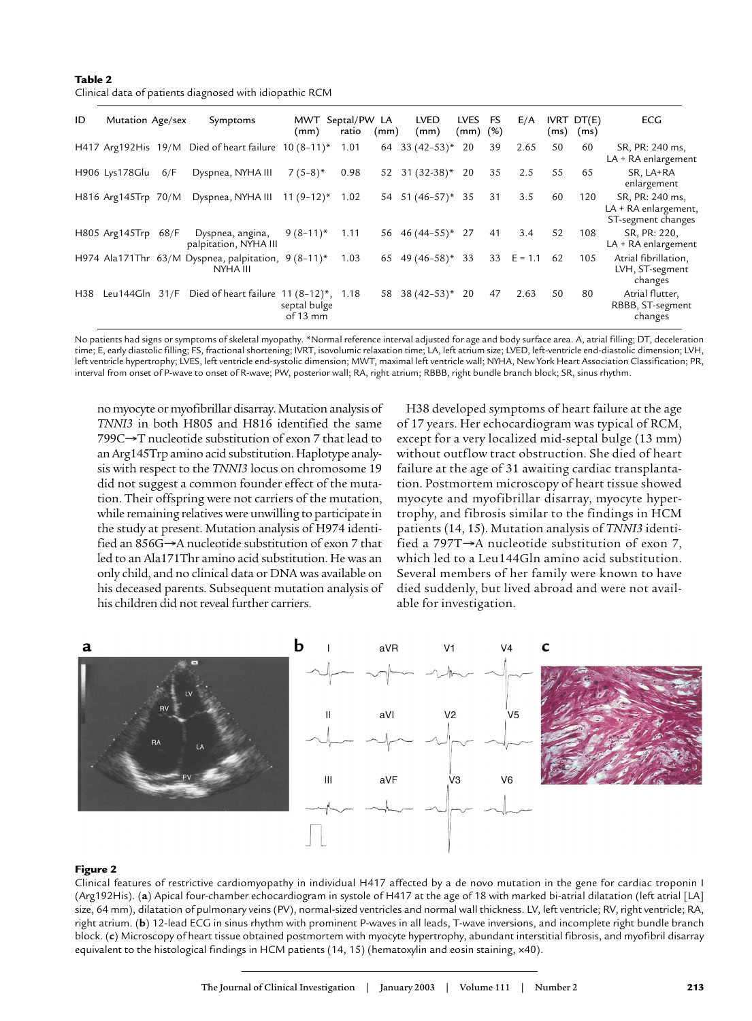**Table 2**

| ID  | Mutation Age/sex    |     | Symptoms                                                        | (mm)                     | MWT Septal/PW LA<br>ratio | (mm) | <b>LVED</b><br>(mm)           | LVES FS<br>$(mm)$ $(\%)$ |    | E/A          |    | <b>IVRT DT(E)</b><br>$(ms)$ $(ms)$ | <b>ECG</b>                                                    |
|-----|---------------------|-----|-----------------------------------------------------------------|--------------------------|---------------------------|------|-------------------------------|--------------------------|----|--------------|----|------------------------------------|---------------------------------------------------------------|
|     |                     |     | H417 Arg192His 19/M Died of heart failure $10(8-11)^*$          |                          | 1.01                      | 64   | $33(42-53)*$                  | 20                       | 39 | 2.65         | 50 | 60                                 | SR, PR: 240 ms,<br>LA + RA enlargement                        |
|     | H906 Lys178Glu      | 6/F | Dyspnea, NYHA III                                               | $7(5-8)*$                | 0.98                      |      | $52 \quad 31 \quad (32-38)^*$ | 20                       | 35 | 2.5          | 55 | 65                                 | SR, LA+RA<br>enlargement                                      |
|     | H816 Arg145Trp 70/M |     | Dyspnea, NYHA III $11 (9-12)^*$                                 |                          | 1.02                      |      | 54 51 (46-57)* 35             |                          | 31 | 3.5          | 60 | 120                                | SR, PR: 240 ms,<br>LA + RA enlargement,<br>ST-segment changes |
|     | H805 Arg145Trp 68/F |     | Dyspnea, angina,<br>palpitation, NYHA III                       | $9(8-11)^*$              | 1.11                      |      | 56 46 (44-55)* 27             |                          | 41 | 3.4          | 52 | 108                                | SR, PR: 220,<br>LA + RA enlargement                           |
|     |                     |     | H974 Ala171Thr 63/M Dyspnea, palpitation, 9 (8-11)*<br>NYHA III |                          | 1.03                      |      | 65 49 $(46-58)^*$             | 33                       |    | 33 $E = 1.1$ | 62 | 105                                | Atrial fibrillation,<br>LVH, ST-segment<br>changes            |
| H38 | Leu144Gln 31/F      |     | Died of heart failure $11 (8-12)^*$ , 1.18                      | septal bulge<br>of 13 mm |                           |      | 58 38 $(42-53)*$              | 20                       | 47 | 2.63         | 50 | 80                                 | Atrial flutter,<br>RBBB, ST-segment<br>changes                |

No patients had signs or symptoms of skeletal myopathy. \*Normal reference interval adjusted for age and body surface area. A, atrial filling; DT, deceleration time; E, early diastolic filling; FS, fractional shortening; IVRT, isovolumic relaxation time; LA, left atrium size; LVED, left-ventricle end-diastolic dimension; LVH, left ventricle hypertrophy; LVES, left ventricle end-systolic dimension; MWT, maximal left ventricle wall; NYHA, New York Heart Association Classification; PR, interval from onset of P-wave to onset of R-wave; PW, posterior wall; RA, right atrium; RBBB, right bundle branch block; SR, sinus rhythm.

no myocyte or myofibrillar disarray. Mutation analysis of *TNNI3* in both H805 and H816 identified the same 799C→T nucleotide substitution of exon 7 that lead to an Arg145Trp amino acid substitution. Haplotype analysis with respect to the *TNNI3* locus on chromosome 19 did not suggest a common founder effect of the mutation. Their offspring were not carriers of the mutation, while remaining relatives were unwilling to participate in the study at present. Mutation analysis of H974 identified an 856G→A nucleotide substitution of exon 7 that led to an Ala171Thr amino acid substitution. He was an only child, and no clinical data or DNA was available on his deceased parents. Subsequent mutation analysis of his children did not reveal further carriers.

H38 developed symptoms of heart failure at the age of 17 years. Her echocardiogram was typical of RCM, except for a very localized mid-septal bulge (13 mm) without outflow tract obstruction. She died of heart failure at the age of 31 awaiting cardiac transplantation. Postmortem microscopy of heart tissue showed myocyte and myofibrillar disarray, myocyte hypertrophy, and fibrosis similar to the findings in HCM patients (14, 15). Mutation analysis of *TNNI3* identified a 797T→A nucleotide substitution of exon 7, which led to a Leu144Gln amino acid substitution. Several members of her family were known to have died suddenly, but lived abroad and were not available for investigation.



#### **Figure 2**

Clinical features of restrictive cardiomyopathy in individual H417 affected by a de novo mutation in the gene for cardiac troponin I (Arg192His). (**a**) Apical four-chamber echocardiogram in systole of H417 at the age of 18 with marked bi-atrial dilatation (left atrial [LA] size, 64 mm), dilatation of pulmonary veins (PV), normal-sized ventricles and normal wall thickness. LV, left ventricle; RV, right ventricle; RA, right atrium. (**b**) 12-lead ECG in sinus rhythm with prominent P-waves in all leads, T-wave inversions, and incomplete right bundle branch block. (**c**) Microscopy of heart tissue obtained postmortem with myocyte hypertrophy, abundant interstitial fibrosis, and myofibril disarray equivalent to the histological findings in HCM patients (14, 15) (hematoxylin and eosin staining, x40).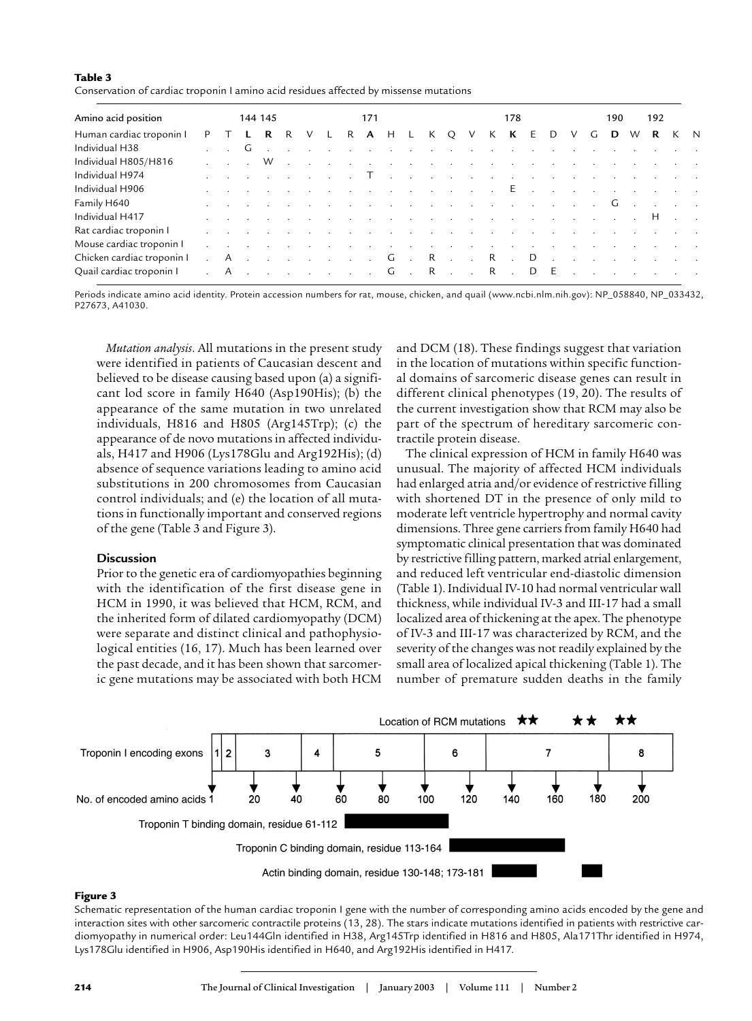## **Table 3**

Conservation of cardiac troponin I amino acid residues affected by missense mutations

| Amino acid position        |  | 144 145 |                   |                                                                                                                                                                                                                                  |  |       | 171 |  |                                     |  |  | 178 |  |  |  |  |  |     |   | 192<br>190 |   |  |                                                                                                                     |  |  |
|----------------------------|--|---------|-------------------|----------------------------------------------------------------------------------------------------------------------------------------------------------------------------------------------------------------------------------|--|-------|-----|--|-------------------------------------|--|--|-----|--|--|--|--|--|-----|---|------------|---|--|---------------------------------------------------------------------------------------------------------------------|--|--|
| Human cardiac troponin I   |  |         |                   |                                                                                                                                                                                                                                  |  | R R V |     |  | L R <b>A</b> H L K Q V K <b>K</b> E |  |  |     |  |  |  |  |  | D   | V | G          | D |  | W R K N                                                                                                             |  |  |
| Individual H38             |  |         | $\cdot$ $\cdot$ G |                                                                                                                                                                                                                                  |  |       |     |  |                                     |  |  |     |  |  |  |  |  |     |   |            |   |  | and the contract of the contract of the contract of the contract of the contract of the contract of the contract of |  |  |
| Individual H805/H816       |  |         |                   |                                                                                                                                                                                                                                  |  |       |     |  |                                     |  |  |     |  |  |  |  |  |     |   |            |   |  |                                                                                                                     |  |  |
| Individual H974            |  |         |                   | . The contract of the contract of the contract of the contract of the contract of the contract of the contract of $\Gamma$ . The contract of the contract of the contract of the contract of the contract of the contract of the |  |       |     |  |                                     |  |  |     |  |  |  |  |  |     |   |            |   |  |                                                                                                                     |  |  |
| Individual H906            |  |         |                   | r de la capital de la capital de la capital de la capital de la capital de la capital de la capital de la capi                                                                                                                   |  |       |     |  |                                     |  |  |     |  |  |  |  |  |     |   |            |   |  |                                                                                                                     |  |  |
| Family H640                |  |         |                   | . The contract of the contract of the contract of the contract of $\mathsf{G}$ , and the contract of the contract of the contract of $\mathsf{G}$                                                                                |  |       |     |  |                                     |  |  |     |  |  |  |  |  |     |   |            |   |  |                                                                                                                     |  |  |
| Individual H417            |  |         |                   | in a comparation of the comparation of the comparation of the comparation of the comparation of the comparation of the comparation of the comparation of the comparation of the comparation of the comparation of the comparat   |  |       |     |  |                                     |  |  |     |  |  |  |  |  |     |   |            |   |  |                                                                                                                     |  |  |
| Rat cardiac troponin I     |  |         |                   | and the company of the company of the company of the company of the company of the company of the company of the                                                                                                                 |  |       |     |  |                                     |  |  |     |  |  |  |  |  |     |   |            |   |  |                                                                                                                     |  |  |
| Mouse cardiac troponin I   |  |         |                   | a construction of the construction of the construction of the construction of the construction of the construction of the construction of the construction of the construction of the construction of the construction of the    |  |       |     |  |                                     |  |  |     |  |  |  |  |  |     |   |            |   |  |                                                                                                                     |  |  |
| Chicken cardiac troponin I |  |         |                   | . A G . R R . D                                                                                                                                                                                                                  |  |       |     |  |                                     |  |  |     |  |  |  |  |  |     |   |            |   |  |                                                                                                                     |  |  |
| Quail cardiac troponin I   |  |         |                   | . A G . R R .                                                                                                                                                                                                                    |  |       |     |  |                                     |  |  |     |  |  |  |  |  | D E |   |            |   |  | and the company of the company of the                                                                               |  |  |

Periods indicate amino acid identity. Protein accession numbers for rat, mouse, chicken, and quail (www.ncbi.nlm.nih.gov): NP\_058840, NP\_033432, P27673, A41030.

*Mutation analysis*. All mutations in the present study were identified in patients of Caucasian descent and believed to be disease causing based upon (a) a significant lod score in family H640 (Asp190His); (b) the appearance of the same mutation in two unrelated individuals, H816 and H805 (Arg145Trp); (c) the appearance of de novo mutations in affected individuals, H417 and H906 (Lys178Glu and Arg192His); (d) absence of sequence variations leading to amino acid substitutions in 200 chromosomes from Caucasian control individuals; and (e) the location of all mutations in functionally important and conserved regions of the gene (Table 3 and Figure 3).

# **Discussion**

Prior to the genetic era of cardiomyopathies beginning with the identification of the first disease gene in HCM in 1990, it was believed that HCM, RCM, and the inherited form of dilated cardiomyopathy (DCM) were separate and distinct clinical and pathophysiological entities (16, 17). Much has been learned over the past decade, and it has been shown that sarcomeric gene mutations may be associated with both HCM and DCM (18). These findings suggest that variation in the location of mutations within specific functional domains of sarcomeric disease genes can result in different clinical phenotypes (19, 20). The results of the current investigation show that RCM may also be part of the spectrum of hereditary sarcomeric contractile protein disease.

The clinical expression of HCM in family H640 was unusual. The majority of affected HCM individuals had enlarged atria and/or evidence of restrictive filling with shortened DT in the presence of only mild to moderate left ventricle hypertrophy and normal cavity dimensions. Three gene carriers from family H640 had symptomatic clinical presentation that was dominated by restrictive filling pattern, marked atrial enlargement, and reduced left ventricular end-diastolic dimension (Table 1). Individual IV-10 had normal ventricular wall thickness, while individual IV-3 and III-17 had a small localized area of thickening at the apex. The phenotype of IV-3 and III-17 was characterized by RCM, and the severity of the changes was not readily explained by the small area of localized apical thickening (Table 1). The number of premature sudden deaths in the family



## **Figure 3**

Schematic representation of the human cardiac troponin I gene with the number of corresponding amino acids encoded by the gene and interaction sites with other sarcomeric contractile proteins (13, 28). The stars indicate mutations identified in patients with restrictive cardiomyopathy in numerical order: Leu144Gln identified in H38, Arg145Trp identified in H816 and H805, Ala171Thr identified in H974, Lys178Glu identified in H906, Asp190His identified in H640, and Arg192His identified in H417.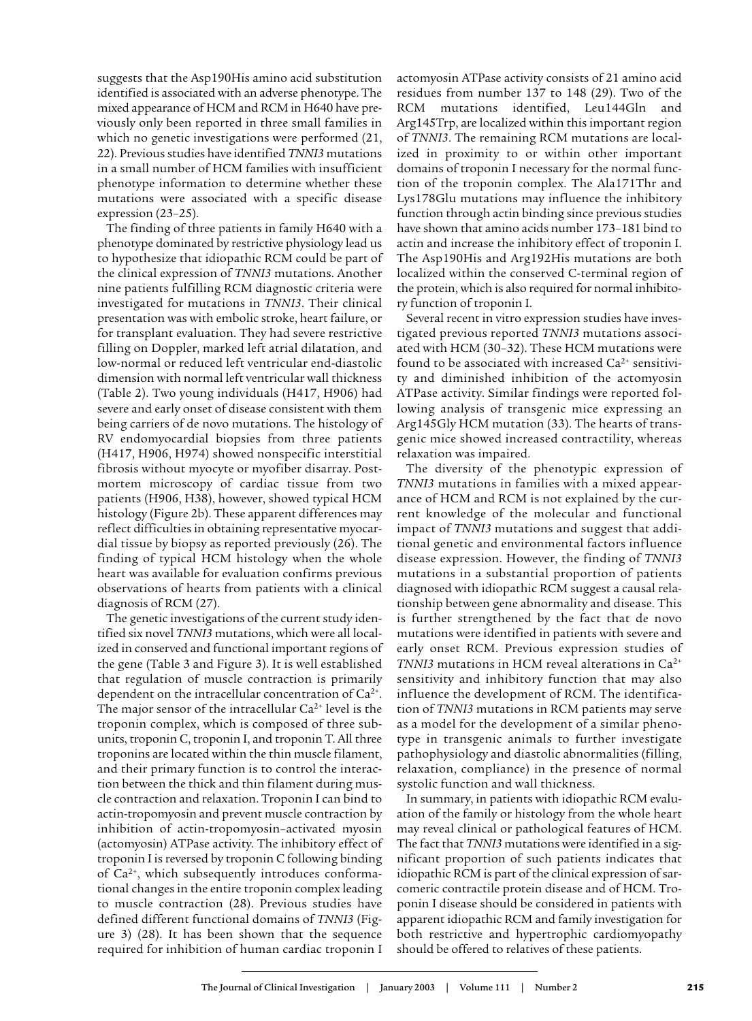suggests that the Asp190His amino acid substitution identified is associated with an adverse phenotype. The mixed appearance of HCM and RCM in H640 have previously only been reported in three small families in which no genetic investigations were performed (21, 22). Previous studies have identified *TNNI3* mutations in a small number of HCM families with insufficient phenotype information to determine whether these mutations were associated with a specific disease expression (23–25).

The finding of three patients in family H640 with a phenotype dominated by restrictive physiology lead us to hypothesize that idiopathic RCM could be part of the clinical expression of *TNNI3* mutations. Another nine patients fulfilling RCM diagnostic criteria were investigated for mutations in *TNNI3*. Their clinical presentation was with embolic stroke, heart failure, or for transplant evaluation. They had severe restrictive filling on Doppler, marked left atrial dilatation, and low-normal or reduced left ventricular end-diastolic dimension with normal left ventricular wall thickness (Table 2). Two young individuals (H417, H906) had severe and early onset of disease consistent with them being carriers of de novo mutations. The histology of RV endomyocardial biopsies from three patients (H417, H906, H974) showed nonspecific interstitial fibrosis without myocyte or myofiber disarray. Postmortem microscopy of cardiac tissue from two patients (H906, H38), however, showed typical HCM histology (Figure 2b). These apparent differences may reflect difficulties in obtaining representative myocardial tissue by biopsy as reported previously (26). The finding of typical HCM histology when the whole heart was available for evaluation confirms previous observations of hearts from patients with a clinical diagnosis of RCM (27).

The genetic investigations of the current study identified six novel *TNNI3* mutations, which were all localized in conserved and functional important regions of the gene (Table 3 and Figure 3). It is well established that regulation of muscle contraction is primarily dependent on the intracellular concentration of  $Ca^{2+}$ . The major sensor of the intracellular  $Ca^{2+}$  level is the troponin complex, which is composed of three subunits, troponin C, troponin I, and troponin T. All three troponins are located within the thin muscle filament, and their primary function is to control the interaction between the thick and thin filament during muscle contraction and relaxation. Troponin I can bind to actin-tropomyosin and prevent muscle contraction by inhibition of actin-tropomyosin–activated myosin (actomyosin) ATPase activity. The inhibitory effect of troponin I is reversed by troponin C following binding of Ca2+, which subsequently introduces conformational changes in the entire troponin complex leading to muscle contraction (28). Previous studies have defined different functional domains of *TNNI3* (Figure 3) (28). It has been shown that the sequence required for inhibition of human cardiac troponin I

actomyosin ATPase activity consists of 21 amino acid residues from number 137 to 148 (29). Two of the RCM mutations identified, Leu144Gln and Arg145Trp, are localized within this important region of *TNNI3*. The remaining RCM mutations are localized in proximity to or within other important domains of troponin I necessary for the normal function of the troponin complex. The Ala171Thr and Lys178Glu mutations may influence the inhibitory function through actin binding since previous studies have shown that amino acids number 173–181 bind to actin and increase the inhibitory effect of troponin I. The Asp190His and Arg192His mutations are both localized within the conserved C-terminal region of the protein, which is also required for normal inhibitory function of troponin I.

Several recent in vitro expression studies have investigated previous reported *TNNI3* mutations associated with HCM (30–32). These HCM mutations were found to be associated with increased  $Ca<sup>2+</sup>$  sensitivity and diminished inhibition of the actomyosin ATPase activity. Similar findings were reported following analysis of transgenic mice expressing an Arg145Gly HCM mutation (33). The hearts of transgenic mice showed increased contractility, whereas relaxation was impaired.

The diversity of the phenotypic expression of *TNNI3* mutations in families with a mixed appearance of HCM and RCM is not explained by the current knowledge of the molecular and functional impact of *TNNI3* mutations and suggest that additional genetic and environmental factors influence disease expression. However, the finding of *TNNI3* mutations in a substantial proportion of patients diagnosed with idiopathic RCM suggest a causal relationship between gene abnormality and disease. This is further strengthened by the fact that de novo mutations were identified in patients with severe and early onset RCM. Previous expression studies of *TNNI3* mutations in HCM reveal alterations in Ca2+ sensitivity and inhibitory function that may also influence the development of RCM. The identification of *TNNI3* mutations in RCM patients may serve as a model for the development of a similar phenotype in transgenic animals to further investigate pathophysiology and diastolic abnormalities (filling, relaxation, compliance) in the presence of normal systolic function and wall thickness.

In summary, in patients with idiopathic RCM evaluation of the family or histology from the whole heart may reveal clinical or pathological features of HCM. The fact that *TNNI3* mutations were identified in a significant proportion of such patients indicates that idiopathic RCM is part of the clinical expression of sarcomeric contractile protein disease and of HCM. Troponin I disease should be considered in patients with apparent idiopathic RCM and family investigation for both restrictive and hypertrophic cardiomyopathy should be offered to relatives of these patients.